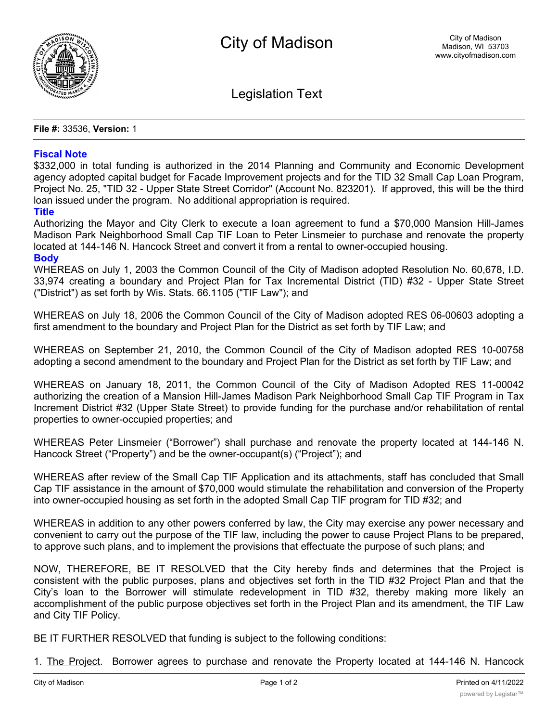

Legislation Text

**File #:** 33536, **Version:** 1

## **Fiscal Note**

\$332,000 in total funding is authorized in the 2014 Planning and Community and Economic Development agency adopted capital budget for Facade Improvement projects and for the TID 32 Small Cap Loan Program, Project No. 25, "TID 32 - Upper State Street Corridor" (Account No. 823201). If approved, this will be the third loan issued under the program. No additional appropriation is required.

## **Title**

Authorizing the Mayor and City Clerk to execute a loan agreement to fund a \$70,000 Mansion Hill-James Madison Park Neighborhood Small Cap TIF Loan to Peter Linsmeier to purchase and renovate the property located at 144-146 N. Hancock Street and convert it from a rental to owner-occupied housing. **Body**

WHEREAS on July 1, 2003 the Common Council of the City of Madison adopted Resolution No. 60,678, I.D. 33,974 creating a boundary and Project Plan for Tax Incremental District (TID) #32 - Upper State Street ("District") as set forth by Wis. Stats. 66.1105 ("TIF Law"); and

WHEREAS on July 18, 2006 the Common Council of the City of Madison adopted RES 06-00603 adopting a first amendment to the boundary and Project Plan for the District as set forth by TIF Law; and

WHEREAS on September 21, 2010, the Common Council of the City of Madison adopted RES 10-00758 adopting a second amendment to the boundary and Project Plan for the District as set forth by TIF Law; and

WHEREAS on January 18, 2011, the Common Council of the City of Madison Adopted RES 11-00042 authorizing the creation of a Mansion Hill-James Madison Park Neighborhood Small Cap TIF Program in Tax Increment District #32 (Upper State Street) to provide funding for the purchase and/or rehabilitation of rental properties to owner-occupied properties; and

WHEREAS Peter Linsmeier ("Borrower") shall purchase and renovate the property located at 144-146 N. Hancock Street ("Property") and be the owner-occupant(s) ("Project"); and

WHEREAS after review of the Small Cap TIF Application and its attachments, staff has concluded that Small Cap TIF assistance in the amount of \$70,000 would stimulate the rehabilitation and conversion of the Property into owner-occupied housing as set forth in the adopted Small Cap TIF program for TID #32; and

WHEREAS in addition to any other powers conferred by law, the City may exercise any power necessary and convenient to carry out the purpose of the TIF law, including the power to cause Project Plans to be prepared, to approve such plans, and to implement the provisions that effectuate the purpose of such plans; and

NOW, THEREFORE, BE IT RESOLVED that the City hereby finds and determines that the Project is consistent with the public purposes, plans and objectives set forth in the TID #32 Project Plan and that the City's loan to the Borrower will stimulate redevelopment in TID #32, thereby making more likely an accomplishment of the public purpose objectives set forth in the Project Plan and its amendment, the TIF Law and City TIF Policy.

BE IT FURTHER RESOLVED that funding is subject to the following conditions:

1. The Project. Borrower agrees to purchase and renovate the Property located at 144-146 N. Hancock